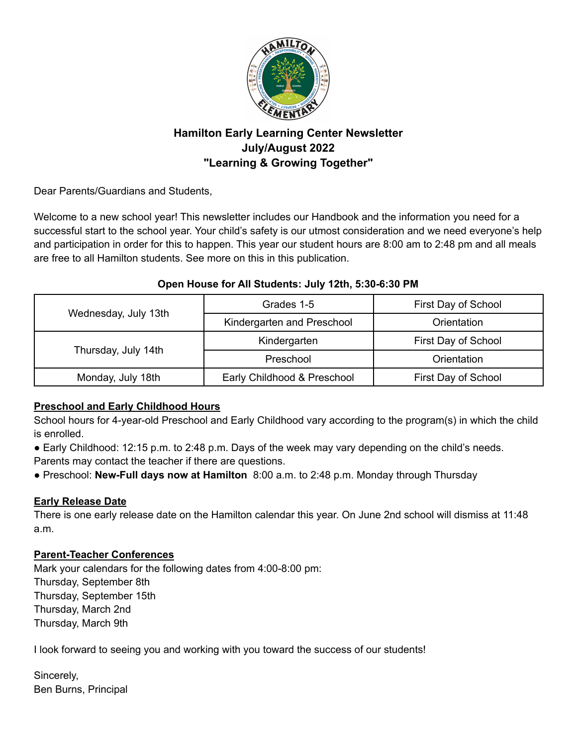

# **Hamilton Early Learning Center Newsletter July/August 2022 "Learning & Growing Together"**

Dear Parents/Guardians and Students,

Welcome to a new school year! This newsletter includes our Handbook and the information you need for a successful start to the school year. Your child's safety is our utmost consideration and we need everyone's help and participation in order for this to happen. This year our student hours are 8:00 am to 2:48 pm and all meals are free to all Hamilton students. See more on this in this publication.

## **Open House for All Students: July 12th, 5:30-6:30 PM**

| Wednesday, July 13th | Grades 1-5                  | First Day of School |
|----------------------|-----------------------------|---------------------|
|                      | Kindergarten and Preschool  | Orientation         |
| Thursday, July 14th  | Kindergarten                | First Day of School |
|                      | Preschool                   | Orientation         |
| Monday, July 18th    | Early Childhood & Preschool | First Day of School |

# **Preschool and Early Childhood Hours**

School hours for 4-year-old Preschool and Early Childhood vary according to the program(s) in which the child is enrolled.

- Early Childhood: 12:15 p.m. to 2:48 p.m. Days of the week may vary depending on the child's needs. Parents may contact the teacher if there are questions.
- Preschool: **New-Full days now at Hamilton** 8:00 a.m. to 2:48 p.m. Monday through Thursday

## **Early Release Date**

There is one early release date on the Hamilton calendar this year. On June 2nd school will dismiss at 11:48 a.m.

## **Parent-Teacher Conferences**

Mark your calendars for the following dates from 4:00-8:00 pm: Thursday, September 8th Thursday, September 15th Thursday, March 2nd Thursday, March 9th

I look forward to seeing you and working with you toward the success of our students!

Sincerely, Ben Burns, Principal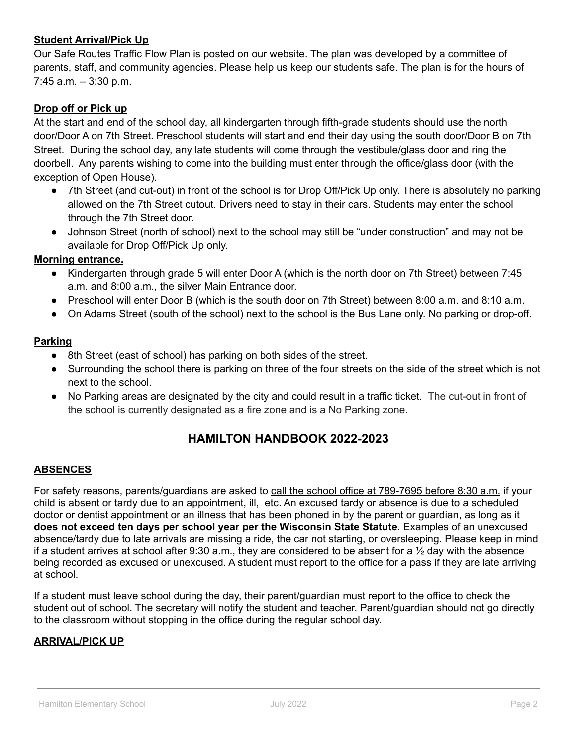## **Student Arrival/Pick Up**

Our Safe Routes Traffic Flow Plan is posted on our website. The plan was developed by a committee of parents, staff, and community agencies. Please help us keep our students safe. The plan is for the hours of  $7:45$  a.m.  $-3:30$  p.m.

## **Drop off or Pick up**

At the start and end of the school day, all kindergarten through fifth-grade students should use the north door/Door A on 7th Street. Preschool students will start and end their day using the south door/Door B on 7th Street. During the school day, any late students will come through the vestibule/glass door and ring the doorbell. Any parents wishing to come into the building must enter through the office/glass door (with the exception of Open House).

- 7th Street (and cut-out) in front of the school is for Drop Off/Pick Up only. There is absolutely no parking allowed on the 7th Street cutout. Drivers need to stay in their cars. Students may enter the school through the 7th Street door.
- Johnson Street (north of school) next to the school may still be "under construction" and may not be available for Drop Off/Pick Up only.

### **Morning entrance.**

- Kindergarten through grade 5 will enter Door A (which is the north door on 7th Street) between 7:45 a.m. and 8:00 a.m., the silver Main Entrance door.
- Preschool will enter Door B (which is the south door on 7th Street) between 8:00 a.m. and 8:10 a.m.
- On Adams Street (south of the school) next to the school is the Bus Lane only. No parking or drop-off.

### **Parking**

- 8th Street (east of school) has parking on both sides of the street.
- Surrounding the school there is parking on three of the four streets on the side of the street which is not next to the school.
- No Parking areas are designated by the city and could result in a traffic ticket. The cut-out in front of the school is currently designated as a fire zone and is a No Parking zone.

# **HAMILTON HANDBOOK 2022-2023**

## **ABSENCES**

For safety reasons, parents/guardians are asked to call the school office at 789-7695 before 8:30 a.m. if your child is absent or tardy due to an appointment, ill, etc. An excused tardy or absence is due to a scheduled doctor or dentist appointment or an illness that has been phoned in by the parent or guardian, as long as it **does not exceed ten days per school year per the Wisconsin State Statute**. Examples of an unexcused absence/tardy due to late arrivals are missing a ride, the car not starting, or oversleeping. Please keep in mind if a student arrives at school after 9:30 a.m., they are considered to be absent for a ½ day with the absence being recorded as excused or unexcused. A student must report to the office for a pass if they are late arriving at school.

If a student must leave school during the day, their parent/guardian must report to the office to check the student out of school. The secretary will notify the student and teacher. Parent/guardian should not go directly to the classroom without stopping in the office during the regular school day.

#### **ARRIVAL/PICK UP**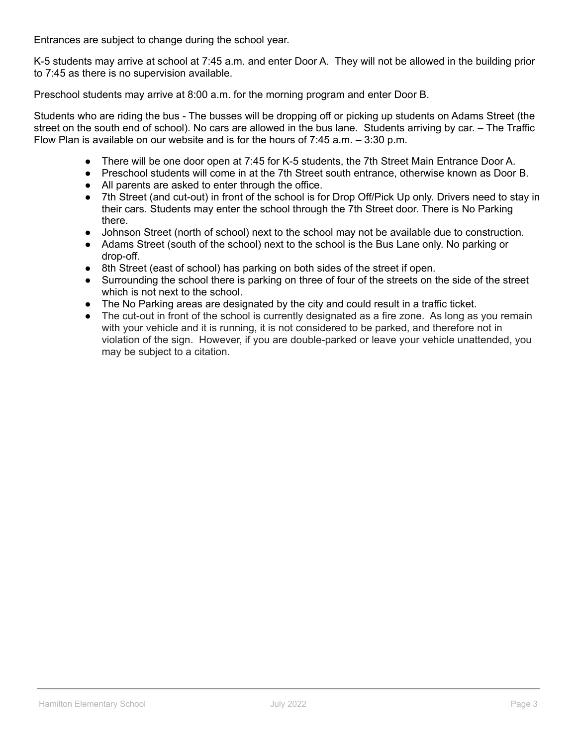Entrances are subject to change during the school year.

K-5 students may arrive at school at 7:45 a.m. and enter Door A. They will not be allowed in the building prior to 7:45 as there is no supervision available.

Preschool students may arrive at 8:00 a.m. for the morning program and enter Door B.

Students who are riding the bus - The busses will be dropping off or picking up students on Adams Street (the street on the south end of school). No cars are allowed in the bus lane. Students arriving by car. – The Traffic Flow Plan is available on our website and is for the hours of 7:45 a.m. – 3:30 p.m.

- There will be one door open at 7:45 for K-5 students, the 7th Street Main Entrance Door A.
- Preschool students will come in at the 7th Street south entrance, otherwise known as Door B.
- All parents are asked to enter through the office.
- 7th Street (and cut-out) in front of the school is for Drop Off/Pick Up only. Drivers need to stay in their cars. Students may enter the school through the 7th Street door. There is No Parking there.
- Johnson Street (north of school) next to the school may not be available due to construction.
- Adams Street (south of the school) next to the school is the Bus Lane only. No parking or drop-off.
- 8th Street (east of school) has parking on both sides of the street if open.
- Surrounding the school there is parking on three of four of the streets on the side of the street which is not next to the school.
- The No Parking areas are designated by the city and could result in a traffic ticket.
- The cut-out in front of the school is currently designated as a fire zone. As long as you remain with your vehicle and it is running, it is not considered to be parked, and therefore not in violation of the sign. However, if you are double-parked or leave your vehicle unattended, you may be subject to a citation.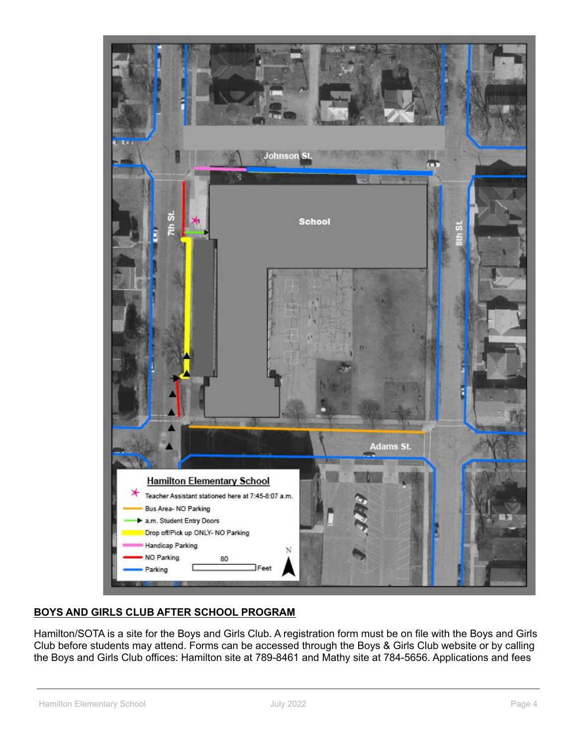

# **BOYS AND GIRLS CLUB AFTER SCHOOL PROGRAM**

Hamilton/SOTA is a site for the Boys and Girls Club. A registration form must be on file with the Boys and Girls Club before students may attend. Forms can be accessed through the Boys & Girls Club website or by calling the Boys and Girls Club offices: Hamilton site at 789-8461 and Mathy site at 784-5656. Applications and fees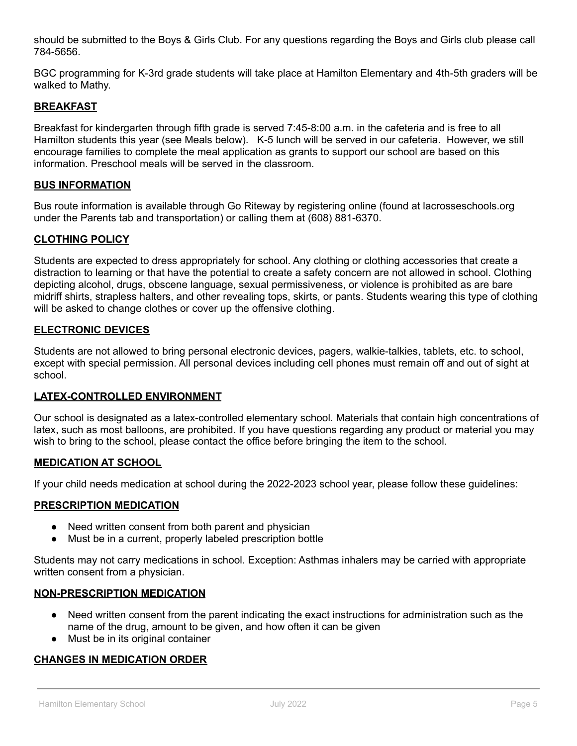should be submitted to the Boys & Girls Club. For any questions regarding the Boys and Girls club please call 784-5656.

BGC programming for K-3rd grade students will take place at Hamilton Elementary and 4th-5th graders will be walked to Mathy.

## **BREAKFAST**

Breakfast for kindergarten through fifth grade is served 7:45-8:00 a.m. in the cafeteria and is free to all Hamilton students this year (see Meals below). K-5 lunch will be served in our cafeteria. However, we still encourage families to complete the meal application as grants to support our school are based on this information. Preschool meals will be served in the classroom.

#### **BUS INFORMATION**

Bus route information is available through Go Riteway by registering online (found at lacrosseschools.org under the Parents tab and transportation) or calling them at (608) 881-6370.

### **CLOTHING POLICY**

Students are expected to dress appropriately for school. Any clothing or clothing accessories that create a distraction to learning or that have the potential to create a safety concern are not allowed in school. Clothing depicting alcohol, drugs, obscene language, sexual permissiveness, or violence is prohibited as are bare midriff shirts, strapless halters, and other revealing tops, skirts, or pants. Students wearing this type of clothing will be asked to change clothes or cover up the offensive clothing.

### **ELECTRONIC DEVICES**

Students are not allowed to bring personal electronic devices, pagers, walkie-talkies, tablets, etc. to school, except with special permission. All personal devices including cell phones must remain off and out of sight at school.

## **LATEX-CONTROLLED ENVIRONMENT**

Our school is designated as a latex-controlled elementary school. Materials that contain high concentrations of latex, such as most balloons, are prohibited. If you have questions regarding any product or material you may wish to bring to the school, please contact the office before bringing the item to the school.

#### **MEDICATION AT SCHOOL**

If your child needs medication at school during the 2022-2023 school year, please follow these guidelines:

#### **PRESCRIPTION MEDICATION**

- Need written consent from both parent and physician
- Must be in a current, properly labeled prescription bottle

Students may not carry medications in school. Exception: Asthmas inhalers may be carried with appropriate written consent from a physician.

#### **NON-PRESCRIPTION MEDICATION**

- Need written consent from the parent indicating the exact instructions for administration such as the name of the drug, amount to be given, and how often it can be given
- Must be in its original container

## **CHANGES IN MEDICATION ORDER**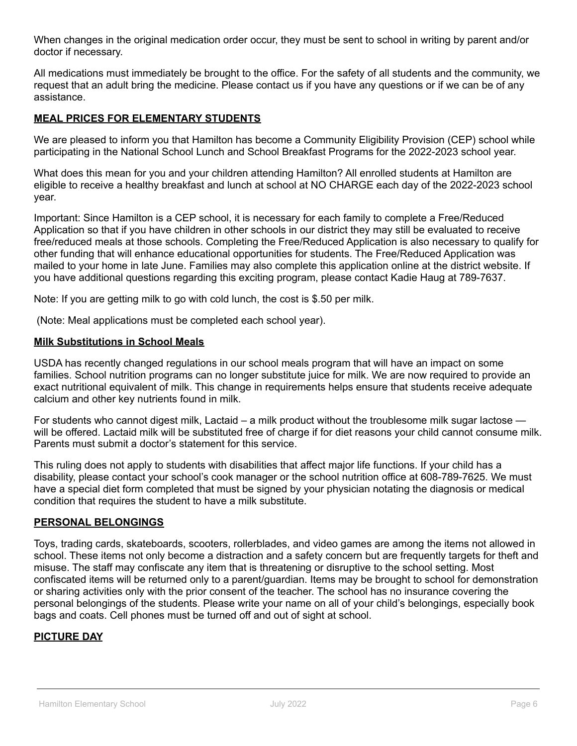When changes in the original medication order occur, they must be sent to school in writing by parent and/or doctor if necessary.

All medications must immediately be brought to the office. For the safety of all students and the community, we request that an adult bring the medicine. Please contact us if you have any questions or if we can be of any assistance.

## **MEAL PRICES FOR ELEMENTARY STUDENTS**

We are pleased to inform you that Hamilton has become a Community Eligibility Provision (CEP) school while participating in the National School Lunch and School Breakfast Programs for the 2022-2023 school year.

What does this mean for you and your children attending Hamilton? All enrolled students at Hamilton are eligible to receive a healthy breakfast and lunch at school at NO CHARGE each day of the 2022-2023 school year.

Important: Since Hamilton is a CEP school, it is necessary for each family to complete a Free/Reduced Application so that if you have children in other schools in our district they may still be evaluated to receive free/reduced meals at those schools. Completing the Free/Reduced Application is also necessary to qualify for other funding that will enhance educational opportunities for students. The Free/Reduced Application was mailed to your home in late June. Families may also complete this application online at the district website. If you have additional questions regarding this exciting program, please contact Kadie Haug at 789-7637.

Note: If you are getting milk to go with cold lunch, the cost is \$.50 per milk.

(Note: Meal applications must be completed each school year).

### **Milk Substitutions in School Meals**

USDA has recently changed regulations in our school meals program that will have an impact on some families. School nutrition programs can no longer substitute juice for milk. We are now required to provide an exact nutritional equivalent of milk. This change in requirements helps ensure that students receive adequate calcium and other key nutrients found in milk.

For students who cannot digest milk, Lactaid – a milk product without the troublesome milk sugar lactose will be offered. Lactaid milk will be substituted free of charge if for diet reasons your child cannot consume milk. Parents must submit a doctor's statement for this service.

This ruling does not apply to students with disabilities that affect major life functions. If your child has a disability, please contact your school's cook manager or the school nutrition office at 608-789-7625. We must have a special diet form completed that must be signed by your physician notating the diagnosis or medical condition that requires the student to have a milk substitute.

#### **PERSONAL BELONGINGS**

Toys, trading cards, skateboards, scooters, rollerblades, and video games are among the items not allowed in school. These items not only become a distraction and a safety concern but are frequently targets for theft and misuse. The staff may confiscate any item that is threatening or disruptive to the school setting. Most confiscated items will be returned only to a parent/guardian. Items may be brought to school for demonstration or sharing activities only with the prior consent of the teacher. The school has no insurance covering the personal belongings of the students. Please write your name on all of your child's belongings, especially book bags and coats. Cell phones must be turned off and out of sight at school.

## **PICTURE DAY**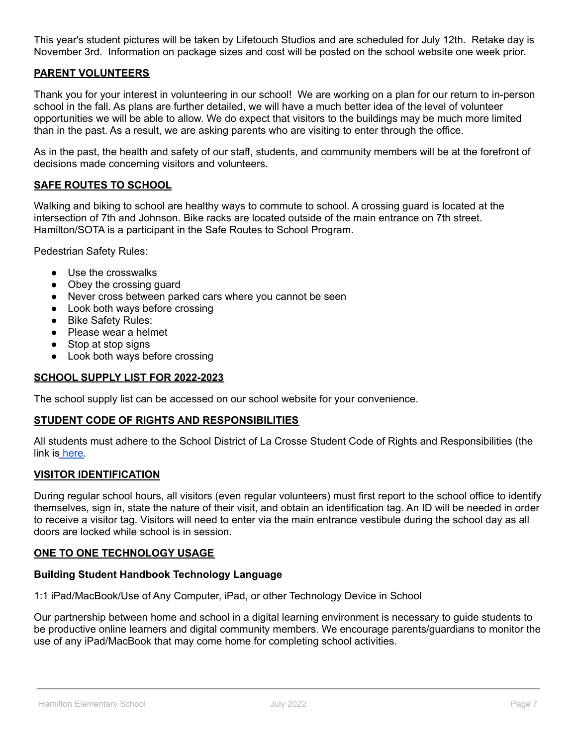This year's student pictures will be taken by Lifetouch Studios and are scheduled for July 12th. Retake day is November 3rd. Information on package sizes and cost will be posted on the school website one week prior.

## **PARENT VOLUNTEERS**

Thank you for your interest in volunteering in our school! We are working on a plan for our return to in-person school in the fall. As plans are further detailed, we will have a much better idea of the level of volunteer opportunities we will be able to allow. We do expect that visitors to the buildings may be much more limited than in the past. As a result, we are asking parents who are visiting to enter through the office.

As in the past, the health and safety of our staff, students, and community members will be at the forefront of decisions made concerning visitors and volunteers.

#### **SAFE ROUTES TO SCHOOL**

Walking and biking to school are healthy ways to commute to school. A crossing guard is located at the intersection of 7th and Johnson. Bike racks are located outside of the main entrance on 7th street. Hamilton/SOTA is a participant in the Safe Routes to School Program.

Pedestrian Safety Rules:

- Use the crosswalks
- Obey the crossing guard
- Never cross between parked cars where you cannot be seen
- Look both ways before crossing
- Bike Safety Rules:
- Please wear a helmet
- Stop at stop signs
- Look both ways before crossing

#### **SCHOOL SUPPLY LIST FOR 2022-2023**

The school supply list can be accessed on our school website for your convenience.

#### **STUDENT CODE OF RIGHTS AND RESPONSIBILITIES**

All students must adhere to the School District of La Crosse Student Code of Rights and Responsibilities (the link is [here.](https://www.lacrosseschools.org/2021-22-code-of-rights-and-responsibilities/)

#### **VISITOR IDENTIFICATION**

During regular school hours, all visitors (even regular volunteers) must first report to the school office to identify themselves, sign in, state the nature of their visit, and obtain an identification tag. An ID will be needed in order to receive a visitor tag. Visitors will need to enter via the main entrance vestibule during the school day as all doors are locked while school is in session.

#### **ONE TO ONE TECHNOLOGY USAGE**

#### **Building Student Handbook Technology Language**

1:1 iPad/MacBook/Use of Any Computer, iPad, or other Technology Device in School

Our partnership between home and school in a digital learning environment is necessary to guide students to be productive online learners and digital community members. We encourage parents/guardians to monitor the use of any iPad/MacBook that may come home for completing school activities.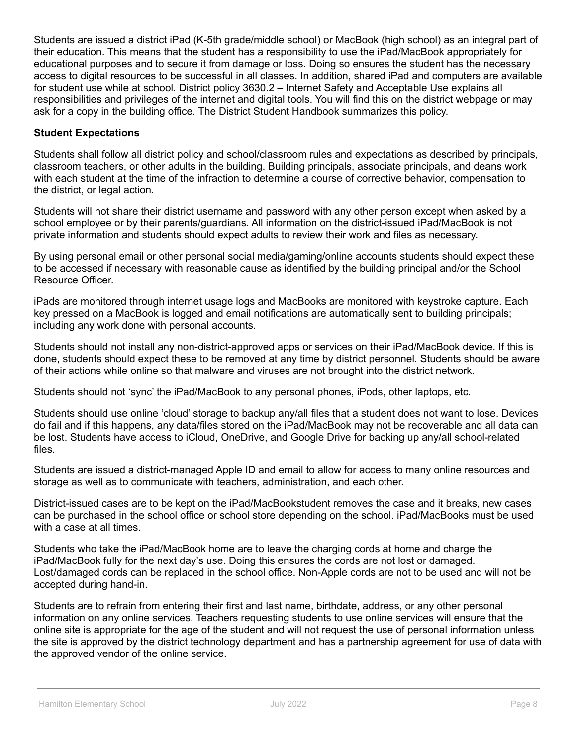Students are issued a district iPad (K-5th grade/middle school) or MacBook (high school) as an integral part of their education. This means that the student has a responsibility to use the iPad/MacBook appropriately for educational purposes and to secure it from damage or loss. Doing so ensures the student has the necessary access to digital resources to be successful in all classes. In addition, shared iPad and computers are available for student use while at school. District policy 3630.2 – Internet Safety and Acceptable Use explains all responsibilities and privileges of the internet and digital tools. You will find this on the district webpage or may ask for a copy in the building office. The District Student Handbook summarizes this policy.

## **Student Expectations**

Students shall follow all district policy and school/classroom rules and expectations as described by principals, classroom teachers, or other adults in the building. Building principals, associate principals, and deans work with each student at the time of the infraction to determine a course of corrective behavior, compensation to the district, or legal action.

Students will not share their district username and password with any other person except when asked by a school employee or by their parents/guardians. All information on the district-issued iPad/MacBook is not private information and students should expect adults to review their work and files as necessary.

By using personal email or other personal social media/gaming/online accounts students should expect these to be accessed if necessary with reasonable cause as identified by the building principal and/or the School Resource Officer.

iPads are monitored through internet usage logs and MacBooks are monitored with keystroke capture. Each key pressed on a MacBook is logged and email notifications are automatically sent to building principals; including any work done with personal accounts.

Students should not install any non-district-approved apps or services on their iPad/MacBook device. If this is done, students should expect these to be removed at any time by district personnel. Students should be aware of their actions while online so that malware and viruses are not brought into the district network.

Students should not 'sync' the iPad/MacBook to any personal phones, iPods, other laptops, etc.

Students should use online 'cloud' storage to backup any/all files that a student does not want to lose. Devices do fail and if this happens, any data/files stored on the iPad/MacBook may not be recoverable and all data can be lost. Students have access to iCloud, OneDrive, and Google Drive for backing up any/all school-related files.

Students are issued a district-managed Apple ID and email to allow for access to many online resources and storage as well as to communicate with teachers, administration, and each other.

District-issued cases are to be kept on the iPad/MacBookstudent removes the case and it breaks, new cases can be purchased in the school office or school store depending on the school. iPad/MacBooks must be used with a case at all times.

Students who take the iPad/MacBook home are to leave the charging cords at home and charge the iPad/MacBook fully for the next day's use. Doing this ensures the cords are not lost or damaged. Lost/damaged cords can be replaced in the school office. Non-Apple cords are not to be used and will not be accepted during hand-in.

Students are to refrain from entering their first and last name, birthdate, address, or any other personal information on any online services. Teachers requesting students to use online services will ensure that the online site is appropriate for the age of the student and will not request the use of personal information unless the site is approved by the district technology department and has a partnership agreement for use of data with the approved vendor of the online service.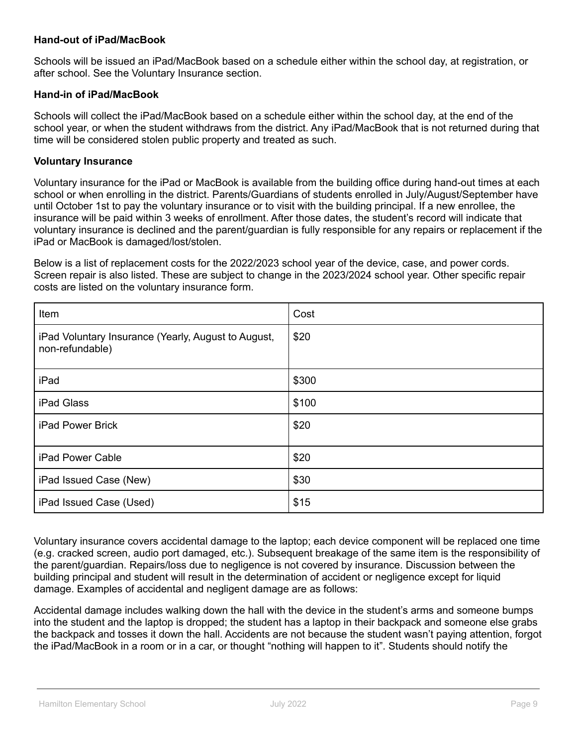### **Hand-out of iPad/MacBook**

Schools will be issued an iPad/MacBook based on a schedule either within the school day, at registration, or after school. See the Voluntary Insurance section.

#### **Hand-in of iPad/MacBook**

Schools will collect the iPad/MacBook based on a schedule either within the school day, at the end of the school year, or when the student withdraws from the district. Any iPad/MacBook that is not returned during that time will be considered stolen public property and treated as such.

#### **Voluntary Insurance**

Voluntary insurance for the iPad or MacBook is available from the building office during hand-out times at each school or when enrolling in the district. Parents/Guardians of students enrolled in July/August/September have until October 1st to pay the voluntary insurance or to visit with the building principal. If a new enrollee, the insurance will be paid within 3 weeks of enrollment. After those dates, the student's record will indicate that voluntary insurance is declined and the parent/guardian is fully responsible for any repairs or replacement if the iPad or MacBook is damaged/lost/stolen.

Below is a list of replacement costs for the 2022/2023 school year of the device, case, and power cords. Screen repair is also listed. These are subject to change in the 2023/2024 school year. Other specific repair costs are listed on the voluntary insurance form.

| Item                                                                   | Cost  |
|------------------------------------------------------------------------|-------|
| iPad Voluntary Insurance (Yearly, August to August,<br>non-refundable) | \$20  |
| iPad                                                                   | \$300 |
| iPad Glass                                                             | \$100 |
| <b>iPad Power Brick</b>                                                | \$20  |
| iPad Power Cable                                                       | \$20  |
| iPad Issued Case (New)                                                 | \$30  |
| iPad Issued Case (Used)                                                | \$15  |

Voluntary insurance covers accidental damage to the laptop; each device component will be replaced one time (e.g. cracked screen, audio port damaged, etc.). Subsequent breakage of the same item is the responsibility of the parent/guardian. Repairs/loss due to negligence is not covered by insurance. Discussion between the building principal and student will result in the determination of accident or negligence except for liquid damage. Examples of accidental and negligent damage are as follows:

Accidental damage includes walking down the hall with the device in the student's arms and someone bumps into the student and the laptop is dropped; the student has a laptop in their backpack and someone else grabs the backpack and tosses it down the hall. Accidents are not because the student wasn't paying attention, forgot the iPad/MacBook in a room or in a car, or thought "nothing will happen to it". Students should notify the